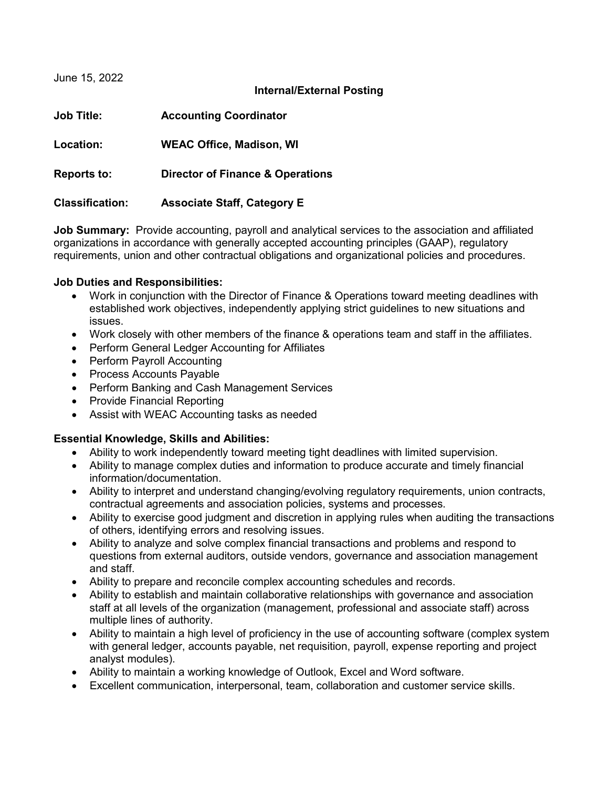June 15, 2022

### **Internal/External Posting**

| <b>Job Title:</b>      | <b>Accounting Coordinator</b>               |
|------------------------|---------------------------------------------|
| Location:              | <b>WEAC Office, Madison, WI</b>             |
| <b>Reports to:</b>     | <b>Director of Finance &amp; Operations</b> |
| <b>Classification:</b> | <b>Associate Staff, Category E</b>          |

**Job Summary:** Provide accounting, payroll and analytical services to the association and affiliated organizations in accordance with generally accepted accounting principles (GAAP), regulatory requirements, union and other contractual obligations and organizational policies and procedures.

### **Job Duties and Responsibilities:**

- Work in conjunction with the Director of Finance & Operations toward meeting deadlines with established work objectives, independently applying strict guidelines to new situations and issues.
- Work closely with other members of the finance & operations team and staff in the affiliates.
- Perform General Ledger Accounting for Affiliates
- Perform Payroll Accounting
- Process Accounts Payable
- Perform Banking and Cash Management Services
- Provide Financial Reporting
- Assist with WEAC Accounting tasks as needed

# **Essential Knowledge, Skills and Abilities:**

- Ability to work independently toward meeting tight deadlines with limited supervision.
- Ability to manage complex duties and information to produce accurate and timely financial information/documentation.
- Ability to interpret and understand changing/evolving regulatory requirements, union contracts, contractual agreements and association policies, systems and processes.
- Ability to exercise good judgment and discretion in applying rules when auditing the transactions of others, identifying errors and resolving issues.
- Ability to analyze and solve complex financial transactions and problems and respond to questions from external auditors, outside vendors, governance and association management and staff.
- Ability to prepare and reconcile complex accounting schedules and records.
- Ability to establish and maintain collaborative relationships with governance and association staff at all levels of the organization (management, professional and associate staff) across multiple lines of authority.
- Ability to maintain a high level of proficiency in the use of accounting software (complex system with general ledger, accounts payable, net requisition, payroll, expense reporting and project analyst modules).
- Ability to maintain a working knowledge of Outlook, Excel and Word software.
- Excellent communication, interpersonal, team, collaboration and customer service skills.